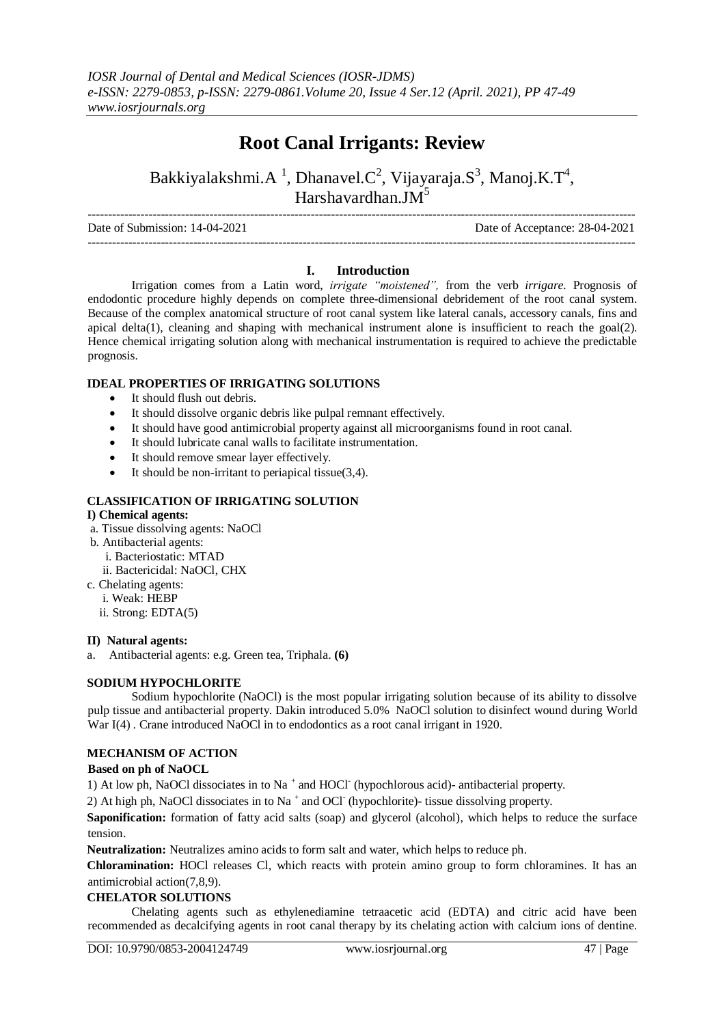# **Root Canal Irrigants: Review**

Bakkiyalakshmi.A<sup>1</sup>, Dhanavel.C<sup>2</sup>, Vijayaraja.S<sup>3</sup>, Manoj.K.T<sup>4</sup>, Harshavardhan. $JM^5$ 

--------------------------------------------------------------------------------------------------------------------------------------- Date of Submission: 14-04-2021 Date of Acceptance: 28-04-2021 ---------------------------------------------------------------------------------------------------------------------------------------

## **I. Introduction**

Irrigation comes from a Latin word, *irrigate "moistened",* from the verb *irrigare.* Prognosis of endodontic procedure highly depends on complete three-dimensional debridement of the root canal system. Because of the complex anatomical structure of root canal system like lateral canals, accessory canals, fins and apical delta(1), cleaning and shaping with mechanical instrument alone is insufficient to reach the goal(2). Hence chemical irrigating solution along with mechanical instrumentation is required to achieve the predictable prognosis.

## **IDEAL PROPERTIES OF IRRIGATING SOLUTIONS**

- It should flush out debris.
- It should dissolve organic debris like pulpal remnant effectively.
- It should have good antimicrobial property against all microorganisms found in root canal.
- It should lubricate canal walls to facilitate instrumentation.
- It should remove smear layer effectively.
- $\bullet$  It should be non-irritant to periapical tissue(3,4).

## **CLASSIFICATION OF IRRIGATING SOLUTION**

#### **I) Chemical agents:**

- a. Tissue dissolving agents: NaOCl
- b. Antibacterial agents:
	- i. Bacteriostatic: MTAD
	- ii. Bactericidal: NaOCl, CHX
- c. Chelating agents:
	- i. Weak: HEBP
	- ii. Strong: EDTA(5)

#### **II) Natural agents:**

a. Antibacterial agents: e.g. Green tea, Triphala. **(6)**

## **SODIUM HYPOCHLORITE**

Sodium hypochlorite (NaOCl) is the most popular irrigating solution because of its ability to dissolve pulp tissue and antibacterial property. Dakin introduced 5.0% NaOCl solution to disinfect wound during World War I(4). Crane introduced NaOCl in to endodontics as a root canal irrigant in 1920.

## **MECHANISM OF ACTION**

## **Based on ph of NaOCL**

1) At low ph, NaOCl dissociates in to Na<sup>+</sup> and HOCl<sup>-</sup> (hypochlorous acid)- antibacterial property.

2) At high ph, NaOCl dissociates in to Na<sup>+</sup> and OCl<sup>-</sup> (hypochlorite)- tissue dissolving property.

**Saponification:** formation of fatty acid salts (soap) and glycerol (alcohol), which helps to reduce the surface tension.

**Neutralization:** Neutralizes amino acids to form salt and water, which helps to reduce ph.

**Chloramination:** HOCl releases Cl, which reacts with protein amino group to form chloramines. It has an antimicrobial action(7,8,9).

## **CHELATOR SOLUTIONS**

Chelating agents such as ethylenediamine tetraacetic acid (EDTA) and citric acid have been recommended as decalcifying agents in root canal therapy by its chelating action with calcium ions of dentine.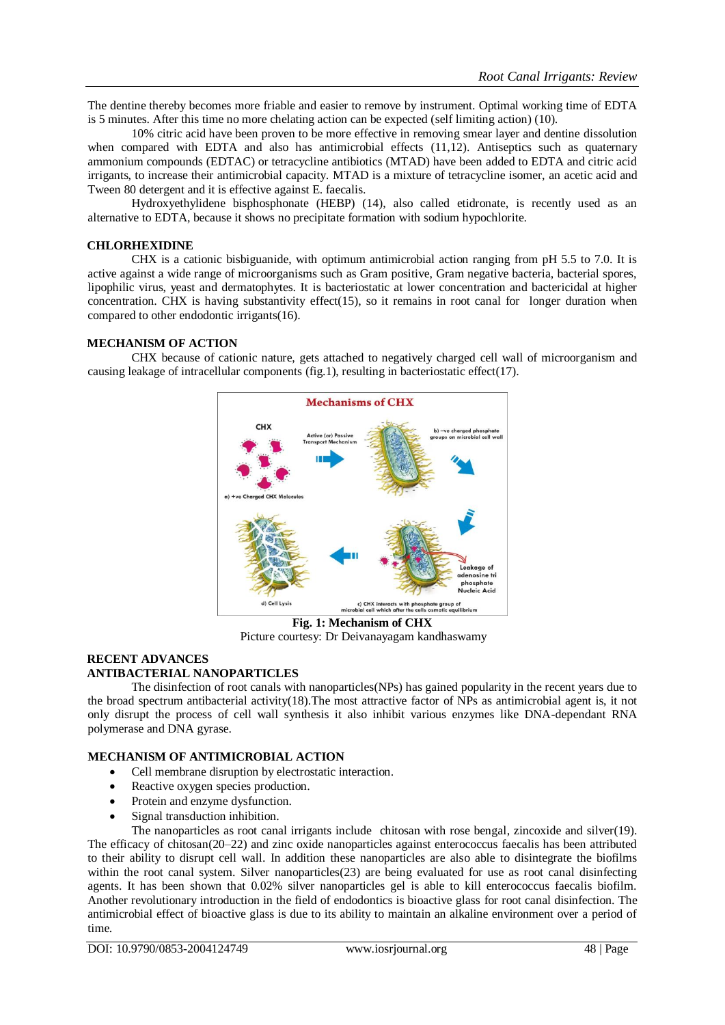The dentine thereby becomes more friable and easier to remove by instrument. Optimal working time of EDTA is 5 minutes. After this time no more chelating action can be expected (self limiting action) (10).

10% citric acid have been proven to be more effective in removing smear layer and dentine dissolution when compared with EDTA and also has antimicrobial effects (11,12). Antiseptics such as quaternary ammonium compounds (EDTAC) or tetracycline antibiotics (MTAD) have been added to EDTA and citric acid irrigants, to increase their antimicrobial capacity. MTAD is a mixture of tetracycline isomer, an acetic acid and Tween 80 detergent and it is effective against E. faecalis.

Hydroxyethylidene bisphosphonate (HEBP) (14), also called etidronate, is recently used as an alternative to EDTA, because it shows no precipitate formation with sodium hypochlorite.

#### **CHLORHEXIDINE**

CHX is a cationic bisbiguanide, with optimum antimicrobial action ranging from pH 5.5 to 7.0. It is active against a wide range of microorganisms such as Gram positive, Gram negative bacteria, bacterial spores, lipophilic virus, yeast and dermatophytes. It is bacteriostatic at lower concentration and bactericidal at higher concentration. CHX is having substantivity effect(15), so it remains in root canal for longer duration when compared to other endodontic irrigants(16).

## **MECHANISM OF ACTION**

CHX because of cationic nature, gets attached to negatively charged cell wall of microorganism and causing leakage of intracellular components (fig.1), resulting in bacteriostatic effect(17).



**Fig. 1: Mechanism of CHX**  Picture courtesy: Dr Deivanayagam kandhaswamy

## **RECENT ADVANCES ANTIBACTERIAL NANOPARTICLES**

The disinfection of root canals with nanoparticles(NPs) has gained popularity in the recent years due to the broad spectrum antibacterial activity(18).The most attractive factor of NPs as antimicrobial agent is, it not only disrupt the process of cell wall synthesis it also inhibit various enzymes like DNA-dependant RNA polymerase and DNA gyrase.

#### **MECHANISM OF ANTIMICROBIAL ACTION**

- Cell membrane disruption by electrostatic interaction.
- Reactive oxygen species production.
- Protein and enzyme dysfunction.
- Signal transduction inhibition.

The nanoparticles as root canal irrigants include chitosan with rose bengal, zincoxide and silver(19). The efficacy of chitosan(20–22) and zinc oxide nanoparticles against enterococcus faecalis has been attributed to their ability to disrupt cell wall. In addition these nanoparticles are also able to disintegrate the biofilms within the root canal system. Silver nanoparticles(23) are being evaluated for use as root canal disinfecting agents. It has been shown that 0.02% silver nanoparticles gel is able to kill enterococcus faecalis biofilm. Another revolutionary introduction in the field of endodontics is bioactive glass for root canal disinfection. The antimicrobial effect of bioactive glass is due to its ability to maintain an alkaline environment over a period of time.